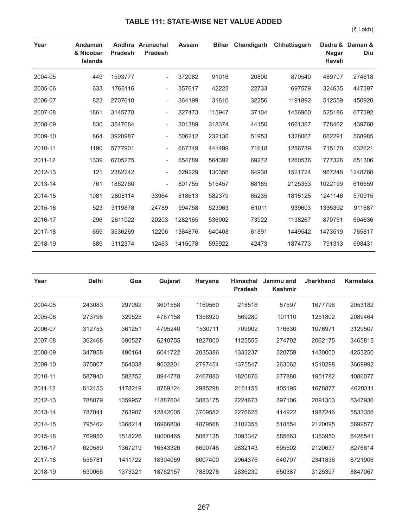## **TABLE 111: STATE-WISE NET VALUE ADDED**

(₹ Lakh)

| Year    | Andaman<br>& Nicobar<br><b>Islands</b> | <b>Pradesh</b> | Andhra Arunachal<br><b>Pradesh</b> | <b>Assam</b> | <b>Bihar</b> | Chandigarh | Chhattisgarh | Dadra &<br><b>Nagar</b><br><b>Haveli</b> | Daman &<br><b>Diu</b> |
|---------|----------------------------------------|----------------|------------------------------------|--------------|--------------|------------|--------------|------------------------------------------|-----------------------|
| 2004-05 | 449                                    | 1593777        | $\overline{\phantom{a}}$           | 372082       | 91016        | 20800      | 870540       | 489707                                   | 274618                |
| 2005-06 | 633                                    | 1766116        | $\overline{\phantom{a}}$           | 357617       | 42223        | 22733      | 697579       | 324635                                   | 447397                |
| 2006-07 | 823                                    | 2707610        | $\overline{\phantom{a}}$           | 364199       | 31610        | 32256      | 1191892      | 512559                                   | 450920                |
| 2007-08 | 1861                                   | 3145778        | $\overline{\phantom{a}}$           | 327473       | 115947       | 37104      | 1456960      | 525186                                   | 677392                |
| 2008-09 | 830                                    | 3547084        | $\overline{\phantom{a}}$           | 301389       | 318374       | 44150      | 1661367      | 778462                                   | 439760                |
| 2009-10 | 864                                    | 3920987        | $\overline{\phantom{a}}$           | 506212       | 232130       | 51953      | 1328067      | 662291                                   | 568985                |
| 2010-11 | 1190                                   | 5777901        | $\overline{\phantom{a}}$           | 667349       | 441499       | 71618      | 1286739      | 715170                                   | 632621                |
| 2011-12 | 1339                                   | 6705275        | $\overline{\phantom{a}}$           | 654789       | 564392       | 69272      | 1260536      | 777326                                   | 651306                |
| 2012-13 | 121                                    | 2382242        | $\overline{\phantom{a}}$           | 629229       | 130356       | 64938      | 1521724      | 967248                                   | 1248760               |
| 2013-14 | 761                                    | 1862780        | $\overline{\phantom{a}}$           | 801755       | 515457       | 68185      | 2125353      | 1022199                                  | 616659                |
| 2014-15 | 1081                                   | 2808114        | 33964                              | 818613       | 582379       | 65235      | 1815125      | 1241146                                  | 570915                |
| 2015-16 | 523                                    | 3119878        | 24789                              | 994758       | 523963       | 61011      | 939603       | 1335392                                  | 911687                |
| 2016-17 | 296                                    | 2611022        | 20203                              | 1282165      | 536902       | 73922      | 1138267      | 870751                                   | 694636                |
| 2017-18 | 659                                    | 3536269        | 12206                              | 1364876      | 640408       | 61891      | 1449542      | 1473519                                  | 765817                |
| 2018-19 | 889                                    | 3112374        | 12463                              | 1415078      | 595922       | 42473      | 1874773      | 791313                                   | 698431                |

| Year    | <b>Delhi</b> | Goa     | Gujarat  | Haryana | <b>Himachal</b><br><b>Pradesh</b> | Jammu and<br><b>Kashmir</b> | <b>Jharkhand</b> | <b>Karnataka</b> |
|---------|--------------|---------|----------|---------|-----------------------------------|-----------------------------|------------------|------------------|
| 2004-05 | 243083       | 297092  | 3601558  | 1169560 | 218516                            | 57597                       | 1677796          | 2053182          |
| 2005-06 | 273798       | 329525  | 4787158  | 1358920 | 569280                            | 101110                      | 1251802          | 2089464          |
| 2006-07 | 312753       | 361251  | 4795240  | 1530711 | 709902                            | 176630                      | 1076971          | 3129507          |
| 2007-08 | 362468       | 390527  | 6210755  | 1827000 | 1125555                           | 274702                      | 2062175          | 3465815          |
| 2008-09 | 347958       | 490164  | 6041722  | 2035386 | 1333237                           | 320759                      | 1430000          | 4253250          |
| 2009-10 | 375807       | 564038  | 9002801  | 2797454 | 1375547                           | 263062                      | 1510298          | 3669992          |
| 2010-11 | 587940       | 582752  | 8944778  | 2467880 | 1820876                           | 277880                      | 1951782          | 4086077          |
| 2011-12 | 612153       | 1178219 | 8769124  | 2985298 | 2161155                           | 405195                      | 1678877          | 4620311          |
| 2012-13 | 788079       | 1059957 | 11887604 | 3883175 | 2224673                           | 397106                      | 2091303          | 5347936          |
| 2013-14 | 787841       | 763987  | 12842005 | 3709582 | 2276625                           | 414922                      | 1987246          | 5533356          |
| 2014-15 | 795462       | 1368214 | 16966808 | 4879568 | 3102355                           | 518554                      | 2120095          | 5699577          |
| 2015-16 | 769950       | 1518226 | 18000465 | 5087135 | 3093347                           | 585663                      | 1353950          | 6426541          |
| 2016-17 | 620589       | 1367219 | 16543326 | 6690746 | 2832143                           | 695502                      | 2120637          | 8276614          |
| 2017-18 | 555781       | 1411722 | 18304059 | 6007400 | 2964376                           | 640797                      | 2341836          | 8721906          |
| 2018-19 | 530066       | 1373321 | 18762157 | 7889276 | 2836230                           | 650387                      | 3125397          | 8847067          |